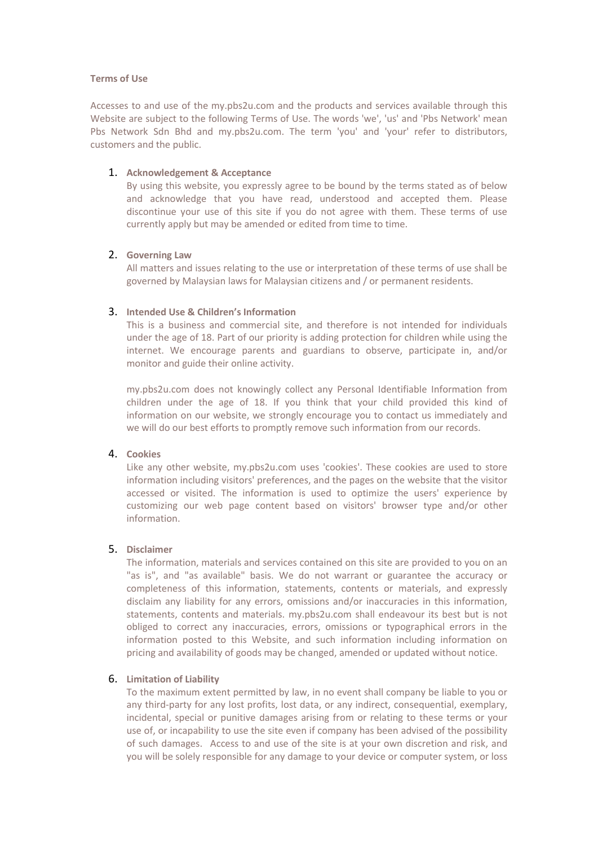## **Terms of Use**

Accesses to and use of the my.pbs2u.com and the products and services available through this Website are subject to the following Terms of Use. The words 'we', 'us' and 'Pbs Network' mean Pbs Network Sdn Bhd and my.pbs2u.com. The term 'you' and 'your' refer to distributors, customers and the public.

## 1. **Acknowledgement & Acceptance**

By using this website, you expressly agree to be bound by the terms stated as of below and acknowledge that you have read, understood and accepted them. Please discontinue your use of this site if you do not agree with them. These terms of use currently apply but may be amended or edited from time to time.

# 2. **Governing Law**

All matters and issues relating to the use or interpretation of these terms of use shall be governed by Malaysian laws for Malaysian citizens and / or permanent residents.

# 3. **Intended Use & Children's Information**

This is a business and commercial site, and therefore is not intended for individuals under the age of 18. Part of our priority is adding protection for children while using the internet. We encourage parents and guardians to observe, participate in, and/or monitor and guide their online activity.

my.pbs2u.com does not knowingly collect any Personal Identifiable Information from children under the age of 18. If you think that your child provided this kind of information on our website, we strongly encourage you to contact us immediately and we will do our best efforts to promptly remove such information from our records.

#### 4. **Cookies**

Like any other website, my.pbs2u.com uses 'cookies'. These cookies are used to store information including visitors' preferences, and the pages on the website that the visitor accessed or visited. The information is used to optimize the users' experience by customizing our web page content based on visitors' browser type and/or other information.

# 5. **Disclaimer**

The information, materials and services contained on this site are provided to you on an "as is", and "as available" basis. We do not warrant or guarantee the accuracy or completeness of this information, statements, contents or materials, and expressly disclaim any liability for any errors, omissions and/or inaccuracies in this information, statements, contents and materials. my.pbs2u.com shall endeavour its best but is not obliged to correct any inaccuracies, errors, omissions or typographical errors in the information posted to this Website, and such information including information on pricing and availability of goods may be changed, amended or updated without notice.

### 6. **Limitation of Liability**

To the maximum extent permitted by law, in no event shall company be liable to you or any third-party for any lost profits, lost data, or any indirect, consequential, exemplary, incidental, special or punitive damages arising from or relating to these terms or your use of, or incapability to use the site even if company has been advised of the possibility of such damages. Access to and use of the site is at your own discretion and risk, and you will be solely responsible for any damage to your device or computer system, or loss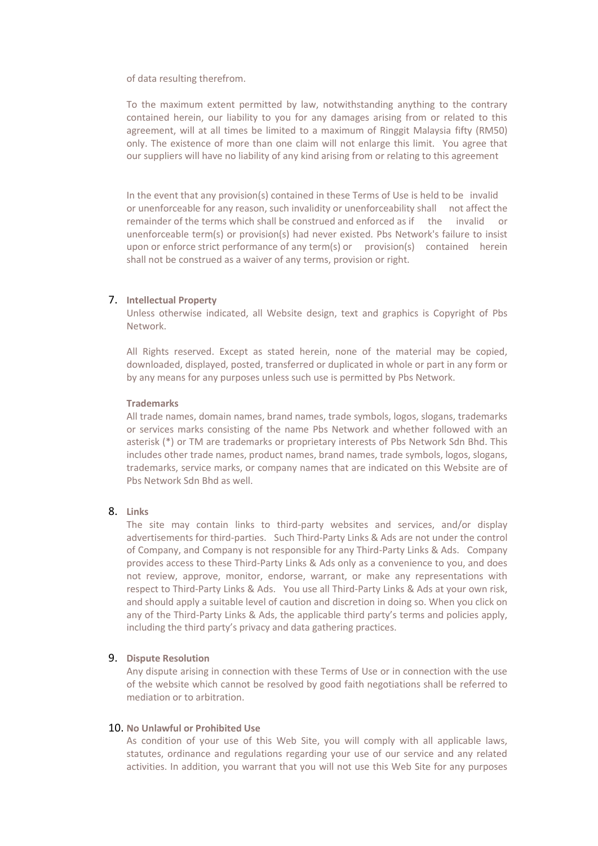of data resulting therefrom.

To the maximum extent permitted by law, notwithstanding anything to the contrary contained herein, our liability to you for any damages arising from or related to this agreement, will at all times be limited to a maximum of Ringgit Malaysia fifty (RM50) only. The existence of more than one claim will not enlarge this limit. You agree that our suppliers will have no liability of any kind arising from or relating to this agreement

In the event that any provision(s) contained in these Terms of Use is held to be invalid or unenforceable for any reason, such invalidity or unenforceability shall not affect the remainder of the terms which shall be construed and enforced as if the invalid or unenforceable term(s) or provision(s) had never existed. Pbs Network's failure to insist upon or enforce strict performance of any term(s) or provision(s) contained herein shall not be construed as a waiver of any terms, provision or right.

# 7. **Intellectual Property**

Unless otherwise indicated, all Website design, text and graphics is Copyright of Pbs Network.

All Rights reserved. Except as stated herein, none of the material may be copied, downloaded, displayed, posted, transferred or duplicated in whole or part in any form or by any means for any purposes unless such use is permitted by Pbs Network.

#### **Trademarks**

All trade names, domain names, brand names, trade symbols, logos, slogans, trademarks or services marks consisting of the name Pbs Network and whether followed with an asterisk (\*) or TM are trademarks or proprietary interests of Pbs Network Sdn Bhd. This includes other trade names, product names, brand names, trade symbols, logos, slogans, trademarks, service marks, or company names that are indicated on this Website are of Pbs Network Sdn Bhd as well.

# 8. **Links**

The site may contain links to third-party websites and services, and/or display advertisements for third-parties. Such Third-Party Links & Ads are not under the control of Company, and Company is not responsible for any Third-Party Links & Ads. Company provides access to these Third-Party Links & Ads only as a convenience to you, and does not review, approve, monitor, endorse, warrant, or make any representations with respect to Third-Party Links & Ads. You use all Third-Party Links & Ads at your own risk, and should apply a suitable level of caution and discretion in doing so. When you click on any of the Third-Party Links & Ads, the applicable third party's terms and policies apply, including the third party's privacy and data gathering practices.

### 9. **Dispute Resolution**

Any dispute arising in connection with these Terms of Use or in connection with the use of the website which cannot be resolved by good faith negotiations shall be referred to mediation or to arbitration.

## 10. **No Unlawful or Prohibited Use**

As condition of your use of this Web Site, you will comply with all applicable laws, statutes, ordinance and regulations regarding your use of our service and any related activities. In addition, you warrant that you will not use this Web Site for any purposes